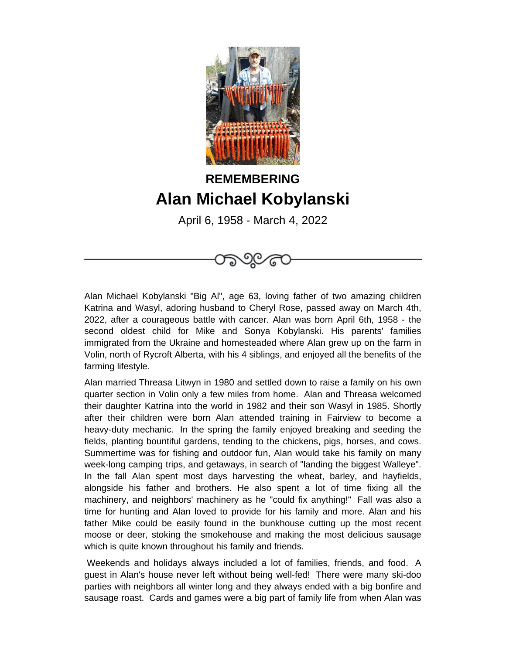

## **REMEMBERING Alan Michael Kobylanski**

April 6, 1958 - March 4, 2022



Alan Michael Kobylanski "Big Al", age 63, loving father of two amazing children Katrina and Wasyl, adoring husband to Cheryl Rose, passed away on March 4th, 2022, after a courageous battle with cancer. Alan was born April 6th, 1958 - the second oldest child for Mike and Sonya Kobylanski. His parents' families immigrated from the Ukraine and homesteaded where Alan grew up on the farm in Volin, north of Rycroft Alberta, with his 4 siblings, and enjoyed all the benefits of the farming lifestyle.

Alan married Threasa Litwyn in 1980 and settled down to raise a family on his own quarter section in Volin only a few miles from home. Alan and Threasa welcomed their daughter Katrina into the world in 1982 and their son Wasyl in 1985. Shortly after their children were born Alan attended training in Fairview to become a heavy-duty mechanic. In the spring the family enjoyed breaking and seeding the fields, planting bountiful gardens, tending to the chickens, pigs, horses, and cows. Summertime was for fishing and outdoor fun, Alan would take his family on many week-long camping trips, and getaways, in search of "landing the biggest Walleye". In the fall Alan spent most days harvesting the wheat, barley, and hayfields, alongside his father and brothers. He also spent a lot of time fixing all the machinery, and neighbors' machinery as he "could fix anything!" Fall was also a time for hunting and Alan loved to provide for his family and more. Alan and his father Mike could be easily found in the bunkhouse cutting up the most recent moose or deer, stoking the smokehouse and making the most delicious sausage which is quite known throughout his family and friends.

 Weekends and holidays always included a lot of families, friends, and food. A guest in Alan's house never left without being well-fed! There were many ski-doo parties with neighbors all winter long and they always ended with a big bonfire and sausage roast. Cards and games were a big part of family life from when Alan was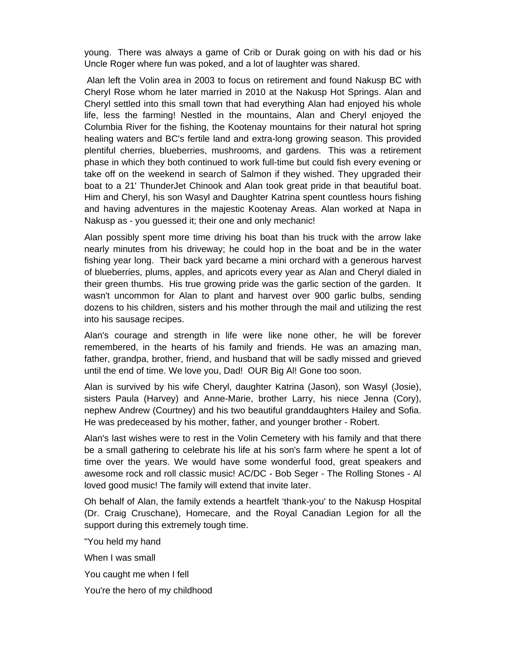young. There was always a game of Crib or Durak going on with his dad or his Uncle Roger where fun was poked, and a lot of laughter was shared.

 Alan left the Volin area in 2003 to focus on retirement and found Nakusp BC with Cheryl Rose whom he later married in 2010 at the Nakusp Hot Springs. Alan and Cheryl settled into this small town that had everything Alan had enjoyed his whole life, less the farming! Nestled in the mountains, Alan and Cheryl enjoyed the Columbia River for the fishing, the Kootenay mountains for their natural hot spring healing waters and BC's fertile land and extra-long growing season. This provided plentiful cherries, blueberries, mushrooms, and gardens. This was a retirement phase in which they both continued to work full-time but could fish every evening or take off on the weekend in search of Salmon if they wished. They upgraded their boat to a 21' ThunderJet Chinook and Alan took great pride in that beautiful boat. Him and Cheryl, his son Wasyl and Daughter Katrina spent countless hours fishing and having adventures in the majestic Kootenay Areas. Alan worked at Napa in Nakusp as - you guessed it; their one and only mechanic!

Alan possibly spent more time driving his boat than his truck with the arrow lake nearly minutes from his driveway; he could hop in the boat and be in the water fishing year long. Their back yard became a mini orchard with a generous harvest of blueberries, plums, apples, and apricots every year as Alan and Cheryl dialed in their green thumbs. His true growing pride was the garlic section of the garden. It wasn't uncommon for Alan to plant and harvest over 900 garlic bulbs, sending dozens to his children, sisters and his mother through the mail and utilizing the rest into his sausage recipes.

Alan's courage and strength in life were like none other, he will be forever remembered, in the hearts of his family and friends. He was an amazing man, father, grandpa, brother, friend, and husband that will be sadly missed and grieved until the end of time. We love you, Dad! OUR Big Al! Gone too soon.

Alan is survived by his wife Cheryl, daughter Katrina (Jason), son Wasyl (Josie), sisters Paula (Harvey) and Anne-Marie, brother Larry, his niece Jenna (Cory), nephew Andrew (Courtney) and his two beautiful granddaughters Hailey and Sofia. He was predeceased by his mother, father, and younger brother - Robert.

Alan's last wishes were to rest in the Volin Cemetery with his family and that there be a small gathering to celebrate his life at his son's farm where he spent a lot of time over the years. We would have some wonderful food, great speakers and awesome rock and roll classic music! AC/DC - Bob Seger - The Rolling Stones - Al loved good music! The family will extend that invite later.

Oh behalf of Alan, the family extends a heartfelt 'thank-you' to the Nakusp Hospital (Dr. Craig Cruschane), Homecare, and the Royal Canadian Legion for all the support during this extremely tough time.

"You held my hand

When I was small

You caught me when I fell

You're the hero of my childhood